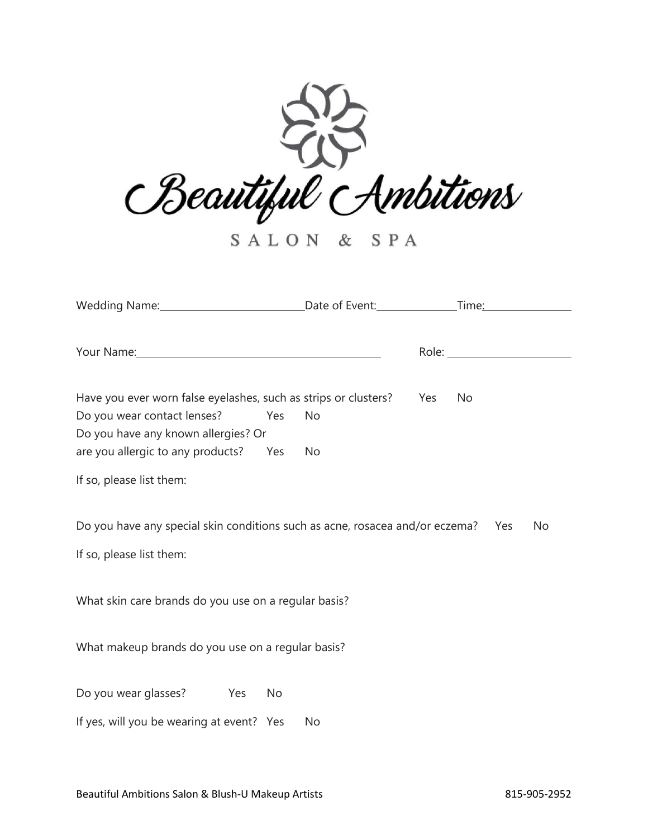

SALON & SPA

| Wedding Name: Cameran Content: Content: Content: Content: Content: Content: Content: Content: Content: Content       |    |                  |
|----------------------------------------------------------------------------------------------------------------------|----|------------------|
| Your Name: 1988 Manual Manual Manual Manual Manual Manual Manual Manual Manual Manual Manual Manual Manual Manual Ma |    |                  |
| Have you ever worn false eyelashes, such as strips or clusters?<br>Do you wear contact lenses?<br>Yes                | No | Yes<br><b>No</b> |
| Do you have any known allergies? Or                                                                                  |    |                  |
| are you allergic to any products? Yes                                                                                | No |                  |
| If so, please list them:                                                                                             |    |                  |
| Do you have any special skin conditions such as acne, rosacea and/or eczema? Yes<br>No                               |    |                  |
| If so, please list them:                                                                                             |    |                  |
|                                                                                                                      |    |                  |
| What skin care brands do you use on a regular basis?                                                                 |    |                  |
| What makeup brands do you use on a regular basis?                                                                    |    |                  |
| Do you wear glasses? Yes<br>No                                                                                       |    |                  |
| If yes, will you be wearing at event? Yes                                                                            | No |                  |